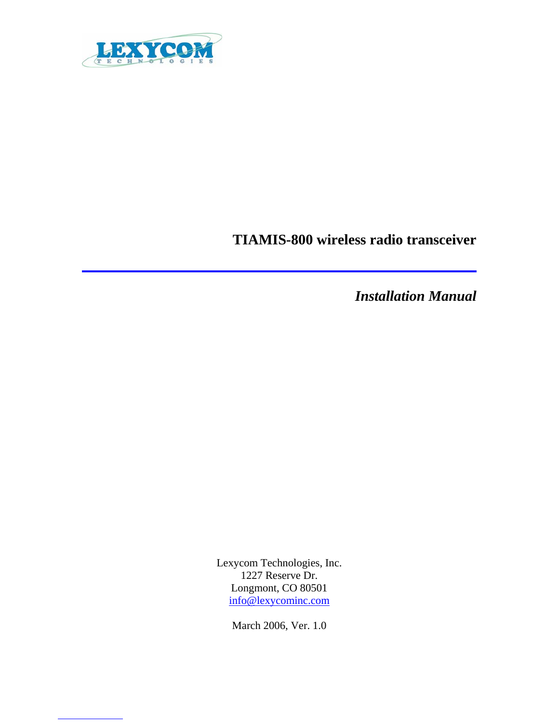

# **TIAMIS-800 wireless radio transceiver**

*Installation Manual* 

Lexycom Technologies, Inc. 1227 Reserve Dr. Longmont, CO 80501 info@lexycominc.com

March 2006, Ver. 1.0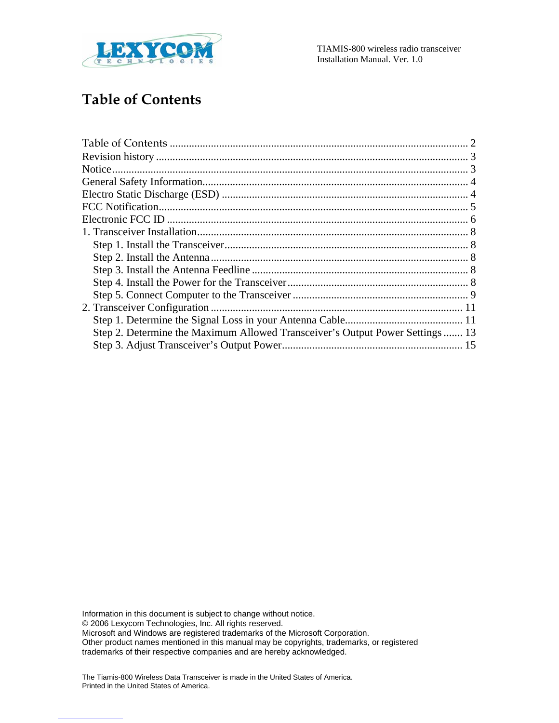

TIAMIS-800 wireless radio transceiver Installation Manual. Ver. 1.0

# **Table of Contents**

| Step 2. Determine the Maximum Allowed Transceiver's Output Power Settings 13 |  |
|------------------------------------------------------------------------------|--|
|                                                                              |  |
|                                                                              |  |

Information in this document is subject to change without notice. © 2006 Lexycom Technologies, Inc. All rights reserved. Microsoft and Windows are registered trademarks of the Microsoft Corporation. Other product names mentioned in this manual may be copyrights, trademarks, or registered trademarks of their respective companies and are hereby acknowledged.

The Tiamis-800 Wireless Data Transceiver is made in the United States of America. Printed in the United States of America.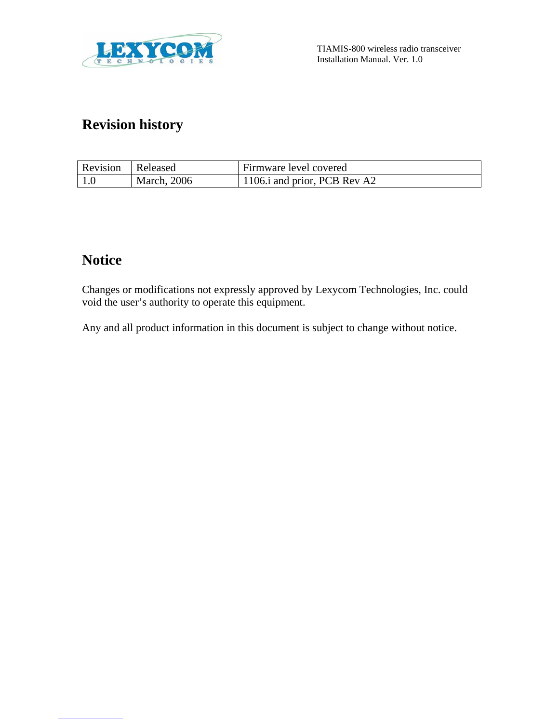

# **Revision history**

| Revision | Released            | Firmware level covered       |
|----------|---------------------|------------------------------|
|          | <b>March</b> , 2006 | 1106.i and prior, PCB Rev A2 |

## **Notice**

Changes or modifications not expressly approved by Lexycom Technologies, Inc. could void the user's authority to operate this equipment.

Any and all product information in this document is subject to change without notice.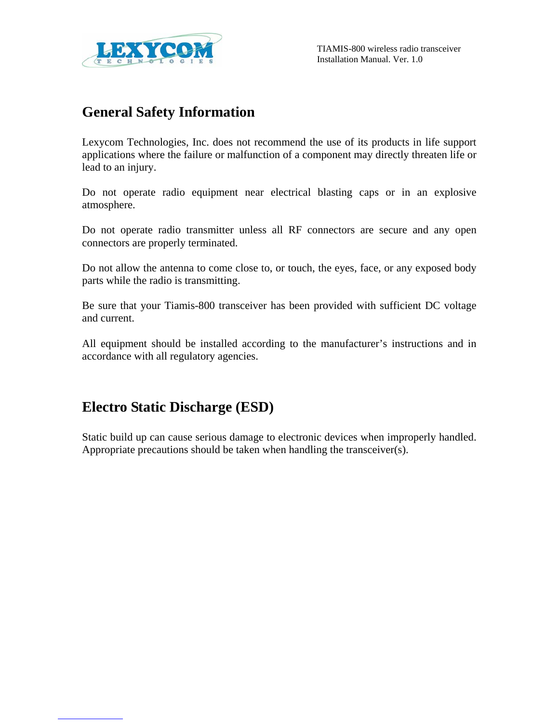

## **General Safety Information**

Lexycom Technologies, Inc. does not recommend the use of its products in life support applications where the failure or malfunction of a component may directly threaten life or lead to an injury.

Do not operate radio equipment near electrical blasting caps or in an explosive atmosphere.

Do not operate radio transmitter unless all RF connectors are secure and any open connectors are properly terminated.

Do not allow the antenna to come close to, or touch, the eyes, face, or any exposed body parts while the radio is transmitting.

Be sure that your Tiamis-800 transceiver has been provided with sufficient DC voltage and current.

All equipment should be installed according to the manufacturer's instructions and in accordance with all regulatory agencies.

### **Electro Static Discharge (ESD)**

Static build up can cause serious damage to electronic devices when improperly handled. Appropriate precautions should be taken when handling the transceiver(s).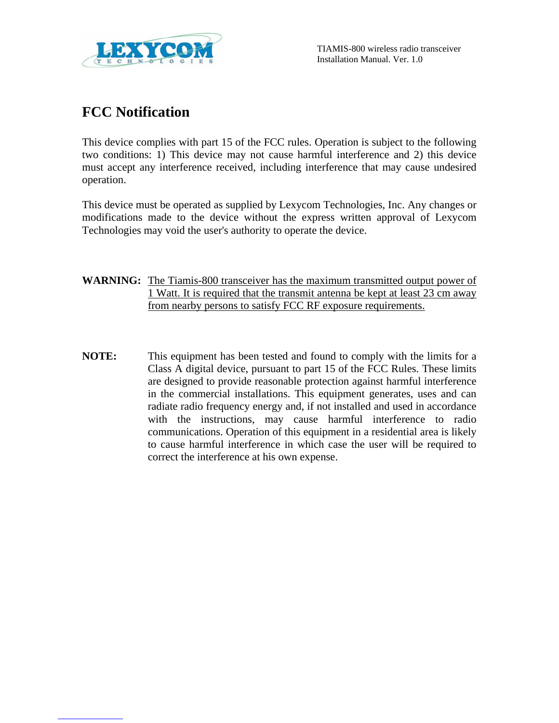

# **FCC Notification**

This device complies with part 15 of the FCC rules. Operation is subject to the following two conditions: 1) This device may not cause harmful interference and 2) this device must accept any interference received, including interference that may cause undesired operation.

This device must be operated as supplied by Lexycom Technologies, Inc. Any changes or modifications made to the device without the express written approval of Lexycom Technologies may void the user's authority to operate the device.

#### WARNING: The Tiamis-800 transceiver has the maximum transmitted output power of 1 Watt. It is required that the transmit antenna be kept at least 23 cm away from nearby persons to satisfy FCC RF exposure requirements.

**NOTE:** This equipment has been tested and found to comply with the limits for a Class A digital device, pursuant to part 15 of the FCC Rules. These limits are designed to provide reasonable protection against harmful interference in the commercial installations. This equipment generates, uses and can radiate radio frequency energy and, if not installed and used in accordance with the instructions, may cause harmful interference to radio communications. Operation of this equipment in a residential area is likely to cause harmful interference in which case the user will be required to correct the interference at his own expense.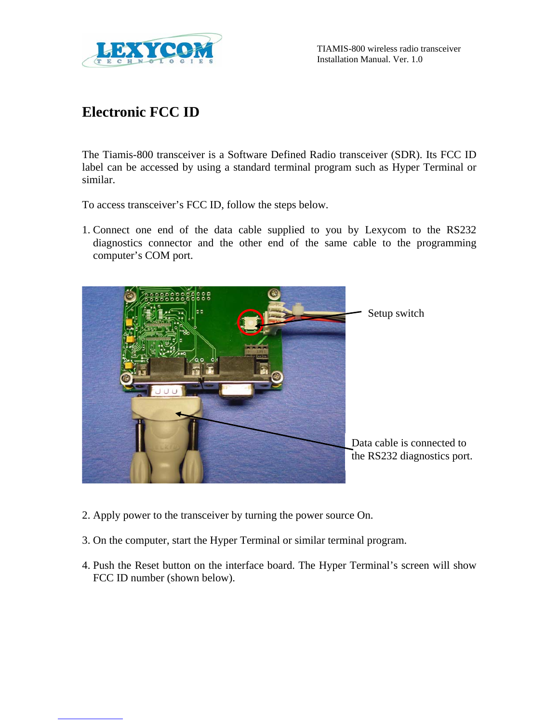

TIAMIS-800 wireless radio transceiver Installation Manual. Ver. 1.0

# **Electronic FCC ID**

The Tiamis-800 transceiver is a Software Defined Radio transceiver (SDR). Its FCC ID label can be accessed by using a standard terminal program such as Hyper Terminal or similar.

To access transceiver's FCC ID, follow the steps below.

1. Connect one end of the data cable supplied to you by Lexycom to the RS232 diagnostics connector and the other end of the same cable to the programming computer's COM port.



- 2. Apply power to the transceiver by turning the power source On.
- 3. On the computer, start the Hyper Terminal or similar terminal program.
- 4. Push the Reset button on the interface board. The Hyper Terminal's screen will show FCC ID number (shown below).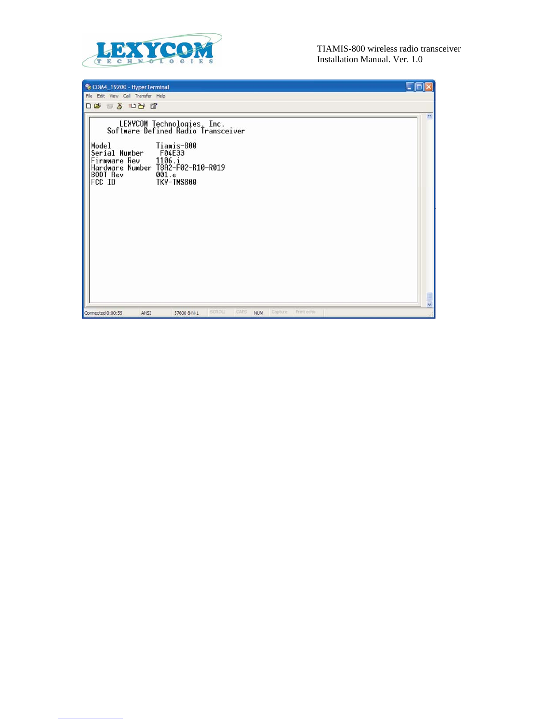

| COM4_19200 - HyperTerminal                                    |                                                                                                                                                                             |                                      |  |
|---------------------------------------------------------------|-----------------------------------------------------------------------------------------------------------------------------------------------------------------------------|--------------------------------------|--|
| File Edit View Call Transfer Help                             |                                                                                                                                                                             |                                      |  |
| 0 6 7 8 0 8 8<br>Model<br>Serial Number<br>B00T Rev<br>FCC ID | LEXYCOM Technologies, Inc.<br>Software Defined Radio Transceiver<br>Tiamis-800<br>F04E33<br>Firmware Rev 1106.i<br>Hardware Number 18A2-F02-R10-R019<br>001.e<br>TKY-TMS800 |                                      |  |
| Connected 0:00:55<br>ANST                                     | SCROLL<br>CAPS<br>57600 8-N-1                                                                                                                                               | Print echo<br>Capture<br><b>NLIM</b> |  |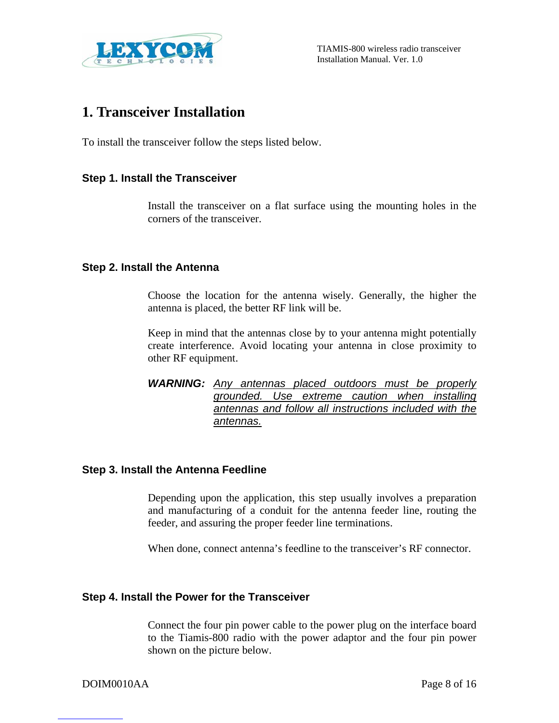

## **1. Transceiver Installation**

To install the transceiver follow the steps listed below.

### **Step 1. Install the Transceiver**

 Install the transceiver on a flat surface using the mounting holes in the corners of the transceiver.

#### **Step 2. Install the Antenna**

 Choose the location for the antenna wisely. Generally, the higher the antenna is placed, the better RF link will be.

Keep in mind that the antennas close by to your antenna might potentially create interference. Avoid locating your antenna in close proximity to other RF equipment.

```
WARNING: Any antennas placed outdoors must be properly 
grounded. Use extreme caution when installing 
antennas and follow all instructions included with the
antennas.
```
#### **Step 3. Install the Antenna Feedline**

 Depending upon the application, this step usually involves a preparation and manufacturing of a conduit for the antenna feeder line, routing the feeder, and assuring the proper feeder line terminations.

When done, connect antenna's feedline to the transceiver's RF connector.

#### **Step 4. Install the Power for the Transceiver**

 Connect the four pin power cable to the power plug on the interface board to the Tiamis-800 radio with the power adaptor and the four pin power shown on the picture below.

DOIM0010AA Page 8 of 16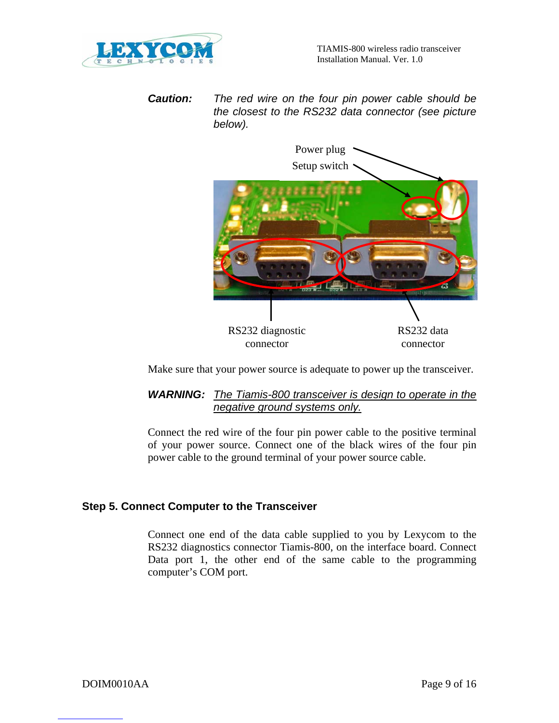

*Caution: The red wire on the four pin power cable should be the closest to the RS232 data connector (see picture below).* 



Make sure that your power source is adequate to power up the transceiver.

### *WARNING: The Tiamis-800 transceiver is design to operate in the negative ground systems only.*

Connect the red wire of the four pin power cable to the positive terminal of your power source. Connect one of the black wires of the four pin power cable to the ground terminal of your power source cable.

### **Step 5. Connect Computer to the Transceiver**

 Connect one end of the data cable supplied to you by Lexycom to the RS232 diagnostics connector Tiamis-800, on the interface board. Connect Data port 1, the other end of the same cable to the programming computer's COM port.

DOIM0010AA Page 9 of 16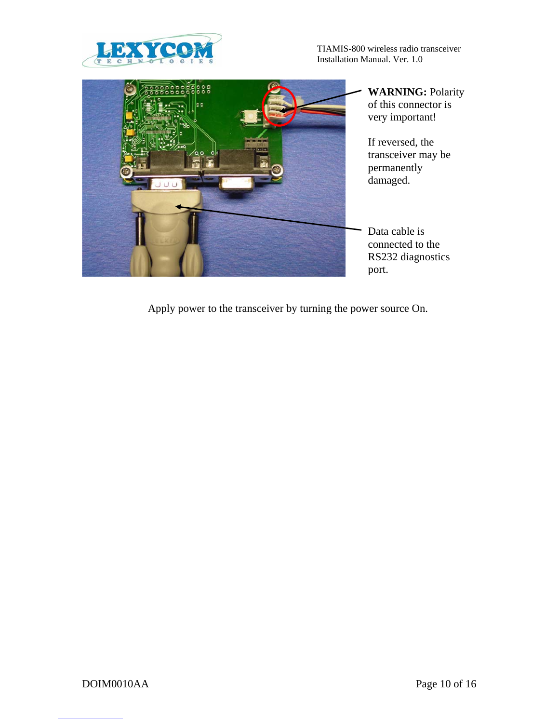

TIAMIS-800 wireless radio transceiver Installation Manual. Ver. 1.0



**WARNING:** Polarity of this connector is very important!

If reversed, the transceiver may be permanently damaged.

Data cable is connected to the RS232 diagnostics port.

Apply power to the transceiver by turning the power source On.

DOIM0010AA Page 10 of 16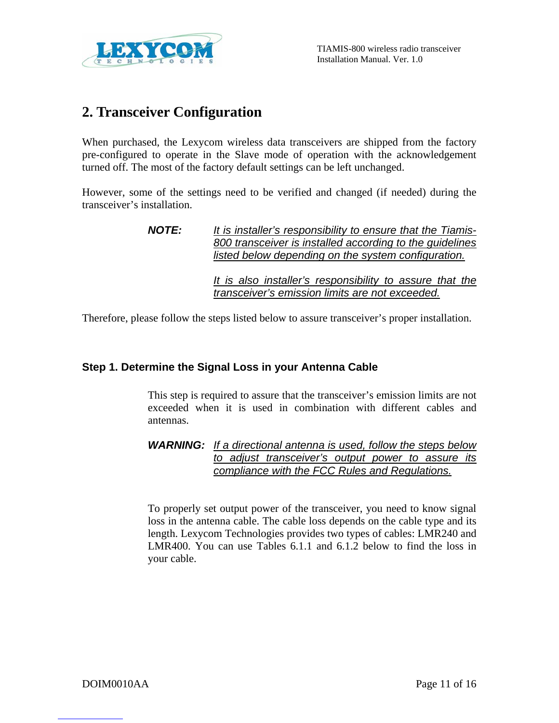

# **2. Transceiver Configuration**

When purchased, the Lexycom wireless data transceivers are shipped from the factory pre-configured to operate in the Slave mode of operation with the acknowledgement turned off. The most of the factory default settings can be left unchanged.

However, some of the settings need to be verified and changed (if needed) during the transceiver's installation.

| NOTE: | It is installer's responsibility to ensure that the Tiamis- |
|-------|-------------------------------------------------------------|
|       | 800 transceiver is installed according to the quidelines    |
|       | listed below depending on the system configuration.         |
|       |                                                             |
|       | It is also installer's responsibility to assure that the    |
|       | transceiver's emission limits are not exceeded.             |
|       |                                                             |

Therefore, please follow the steps listed below to assure transceiver's proper installation.

### **Step 1. Determine the Signal Loss in your Antenna Cable**

This step is required to assure that the transceiver's emission limits are not exceeded when it is used in combination with different cables and antennas.

*WARNING: If a directional antenna is used, follow the steps below to adjust transceiver's output power to assure its compliance with the FCC Rules and Regulations.*

To properly set output power of the transceiver, you need to know signal loss in the antenna cable. The cable loss depends on the cable type and its length. Lexycom Technologies provides two types of cables: LMR240 and LMR400. You can use Tables 6.1.1 and 6.1.2 below to find the loss in your cable.

DOIM0010AA Page 11 of 16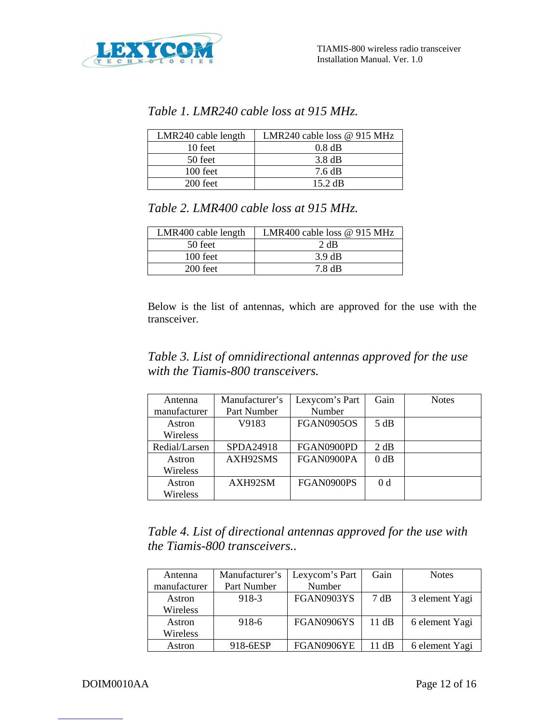

| LMR240 cable length | LMR240 cable loss $@915 \text{ MHz}$ |
|---------------------|--------------------------------------|
| 10 feet             | $0.8$ dB                             |
| 50 feet             | $3.8 \text{ dB}$                     |
| $100$ feet          | 7.6 dB                               |
| $200$ feet          | $15.2 \text{ dB}$                    |

*Table 1. LMR240 cable loss at 915 MHz.* 

*Table 2. LMR400 cable loss at 915 MHz.* 

| LMR400 cable length | LMR400 cable loss $@915 \text{ MHz}$ |
|---------------------|--------------------------------------|
| 50 feet             | 2 dB                                 |
| $100$ feet          | 3.9 dB                               |
| $200$ feet          | 7.8 dB                               |

Below is the list of antennas, which are approved for the use with the transceiver.

*Table 3. List of omnidirectional antennas approved for the use with the Tiamis-800 transceivers.* 

| Antenna       | Manufacturer's | Lexycom's Part    | Gain           | <b>Notes</b> |
|---------------|----------------|-------------------|----------------|--------------|
| manufacturer  | Part Number    | Number            |                |              |
| Astron        | V9183          | <b>FGAN0905OS</b> | 5 dB           |              |
| Wireless      |                |                   |                |              |
| Redial/Larsen | SPDA24918      | FGAN0900PD        | 2 dB           |              |
| Astron        | AXH92SMS       | FGAN0900PA        | $0$ dB         |              |
| Wireless      |                |                   |                |              |
| Astron        | AXH92SM        | FGAN0900PS        | 0 <sub>d</sub> |              |
| Wireless      |                |                   |                |              |

*Table 4. List of directional antennas approved for the use with the Tiamis-800 transceivers..* 

| Antenna      | Manufacturer's | Lexycom's Part | Gain  | <b>Notes</b>   |
|--------------|----------------|----------------|-------|----------------|
| manufacturer | Part Number    | Number         |       |                |
| Astron       | 918-3          | FGAN0903YS     | 7 dB  | 3 element Yagi |
| Wireless     |                |                |       |                |
| Astron       | 918-6          | FGAN0906YS     | 11 dB | 6 element Yagi |
| Wireless     |                |                |       |                |
| Astron       | 918-6ESP       | FGAN0906YE     | 11 dB | 6 element Yagi |

DOIM0010AA Page 12 of 16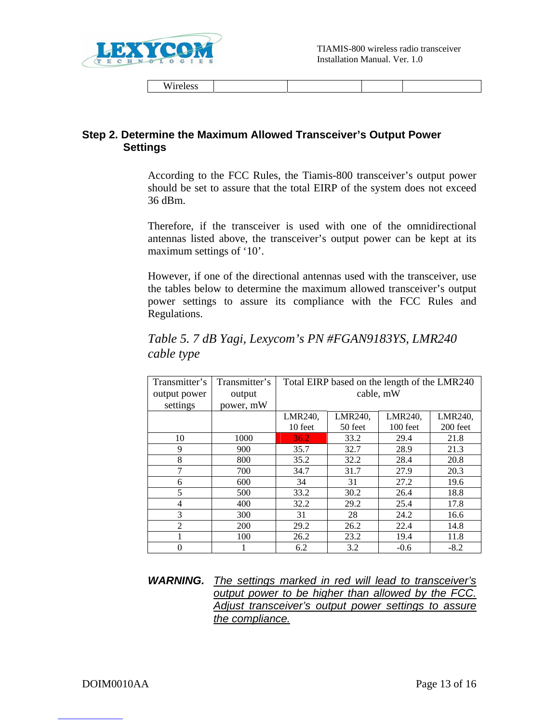

| $- - - -$<br>w<br>. | - .<br>TICICOO |  |  |
|---------------------|----------------|--|--|
|                     |                |  |  |

### **Step 2. Determine the Maximum Allowed Transceiver's Output Power Settings**

According to the FCC Rules, the Tiamis-800 transceiver's output power should be set to assure that the total EIRP of the system does not exceed 36 dBm.

Therefore, if the transceiver is used with one of the omnidirectional antennas listed above, the transceiver's output power can be kept at its maximum settings of '10'.

However, if one of the directional antennas used with the transceiver, use the tables below to determine the maximum allowed transceiver's output power settings to assure its compliance with the FCC Rules and Regulations.

| Transmitter's  | Transmitter's | Total EIRP based on the length of the LMR240 |         |          |          |
|----------------|---------------|----------------------------------------------|---------|----------|----------|
| output power   | output        | cable, mW                                    |         |          |          |
| settings       | power, mW     |                                              |         |          |          |
|                |               | LMR240,                                      | LMR240, | LMR240,  | LMR240,  |
|                |               | 10 feet                                      | 50 feet | 100 feet | 200 feet |
| 10             | 1000          | 36.2                                         | 33.2    | 29.4     | 21.8     |
| 9              | 900           | 35.7                                         | 32.7    | 28.9     | 21.3     |
| 8              | 800           | 35.2                                         | 32.2    | 28.4     | 20.8     |
| 7              | 700           | 34.7                                         | 31.7    | 27.9     | 20.3     |
| 6              | 600           | 34                                           | 31      | 27.2     | 19.6     |
| 5              | 500           | 33.2                                         | 30.2    | 26.4     | 18.8     |
| $\overline{4}$ | 400           | 32.2                                         | 29.2    | 25.4     | 17.8     |
| 3              | 300           | 31                                           | 28      | 24.2     | 16.6     |
| $\overline{2}$ | 200           | 29.2                                         | 26.2    | 22.4     | 14.8     |
|                | 100           | 26.2                                         | 23.2    | 19.4     | 11.8     |
| $\theta$       |               | 6.2                                          | 3.2     | $-0.6$   | $-8.2$   |

*Table 5. 7 dB Yagi, Lexycom's PN #FGAN9183YS, LMR240 cable type* 

*WARNING. The settings marked in red will lead to transceiver's output power to be higher than allowed by the FCC. Adjust transceiver's output power settings to assure the compliance.*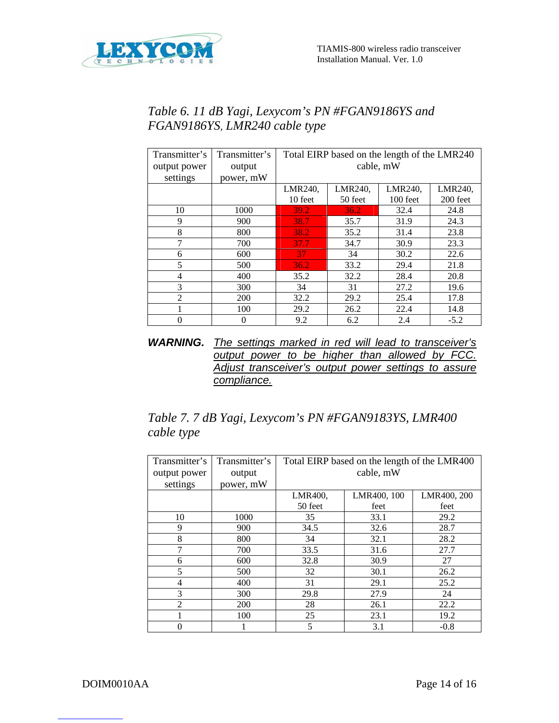

### *Table 6. 11 dB Yagi, Lexycom's PN #FGAN9186YS and FGAN9186YS, LMR240 cable type*

| Transmitter's  | Transmitter's | Total EIRP based on the length of the LMR240 |         |          |          |
|----------------|---------------|----------------------------------------------|---------|----------|----------|
| output power   | output        | cable, mW                                    |         |          |          |
| settings       | power, mW     |                                              |         |          |          |
|                |               | LMR240,                                      | LMR240, | LMR240,  | LMR240,  |
|                |               | 10 feet                                      | 50 feet | 100 feet | 200 feet |
| 10             | 1000          | 39.2                                         | 36.2    | 32.4     | 24.8     |
| 9              | 900           | 38.7                                         | 35.7    | 31.9     | 24.3     |
| 8              | 800           | 38.2                                         | 35.2    | 31.4     | 23.8     |
| $\overline{7}$ | 700           | 37.7                                         | 34.7    | 30.9     | 23.3     |
| 6              | 600           | 37                                           | 34      | 30.2     | 22.6     |
| 5              | 500           | 36.2                                         | 33.2    | 29.4     | 21.8     |
| 4              | 400           | 35.2                                         | 32.2    | 28.4     | 20.8     |
| 3              | 300           | 34                                           | 31      | 27.2     | 19.6     |
| 2              | 200           | 32.2                                         | 29.2    | 25.4     | 17.8     |
|                | 100           | 29.2                                         | 26.2    | 22.4     | 14.8     |
| 0              | 0             | 9.2                                          | 6.2     | 2.4      | $-5.2$   |

*WARNING. The settings marked in red will lead to transceiver's output power to be higher than allowed by FCC. Adjust transceiver's output power settings to assure compliance.*

*Table 7. 7 dB Yagi, Lexycom's PN #FGAN9183YS, LMR400 cable type* 

| Transmitter's  | Transmitter's | Total EIRP based on the length of the LMR400 |             |             |  |
|----------------|---------------|----------------------------------------------|-------------|-------------|--|
| output power   | output        |                                              | cable, mW   |             |  |
| settings       | power, mW     |                                              |             |             |  |
|                |               | LMR400,                                      | LMR400, 100 | LMR400, 200 |  |
|                |               | 50 feet                                      | feet        | feet        |  |
| 10             | 1000          | 35                                           | 33.1        | 29.2        |  |
| 9              | 900           | 34.5                                         | 32.6        | 28.7        |  |
| 8              | 800           | 34                                           | 32.1        | 28.2        |  |
| 7              | 700           | 33.5                                         | 31.6        | 27.7        |  |
| 6              | 600           | 32.8                                         | 30.9        | 27          |  |
| 5              | 500           | 32                                           | 30.1        | 26.2        |  |
| 4              | 400           | 31                                           | 29.1        | 25.2        |  |
| 3              | 300           | 29.8                                         | 27.9        | 24          |  |
| $\mathfrak{D}$ | <b>200</b>    | 28                                           | 26.1        | 22.2        |  |
|                | 100           | 25                                           | 23.1        | 19.2        |  |
|                |               | 5                                            | 3.1         | $-0.8$      |  |

DOIM0010AA Page 14 of 16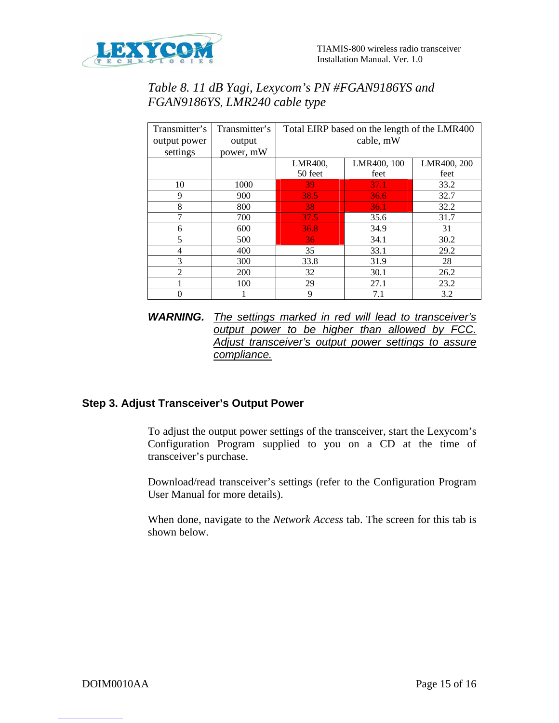

### *Table 8. 11 dB Yagi, Lexycom's PN #FGAN9186YS and FGAN9186YS, LMR240 cable type*

| Transmitter's  | Transmitter's | Total EIRP based on the length of the LMR400 |             |             |
|----------------|---------------|----------------------------------------------|-------------|-------------|
| output power   | output        |                                              | cable, mW   |             |
| settings       | power, mW     |                                              |             |             |
|                |               | LMR400,                                      | LMR400, 100 | LMR400, 200 |
|                |               | 50 feet                                      | feet        | feet        |
| 10             | 1000          | 39                                           | 37.1        | 33.2        |
| 9              | 900           | 38.5                                         | 36.6        | 32.7        |
| 8              | 800           | 38                                           | 36.1        | 32.2        |
| 7              | 700           | 37.5                                         | 35.6        | 31.7        |
| 6              | 600           | 36.8                                         | 34.9        | 31          |
| 5              | 500           | 36                                           | 34.1        | 30.2        |
| 4              | 400           | 35                                           | 33.1        | 29.2        |
| 3              | 300           | 33.8                                         | 31.9        | 28          |
| $\mathfrak{D}$ | <b>200</b>    | 32                                           | 30.1        | 26.2        |
|                | 100           | 29                                           | 27.1        | 23.2        |
|                |               | 9                                            | 7.1         | 3.2         |

*WARNING. The settings marked in red will lead to transceiver's output power to be higher than allowed by FCC. Adjust transceiver's output power settings to assure compliance.*

### **Step 3. Adjust Transceiver's Output Power**

To adjust the output power settings of the transceiver, start the Lexycom's Configuration Program supplied to you on a CD at the time of transceiver's purchase.

Download/read transceiver's settings (refer to the Configuration Program User Manual for more details).

When done, navigate to the *Network Access* tab. The screen for this tab is shown below.

DOIM0010AA Page 15 of 16